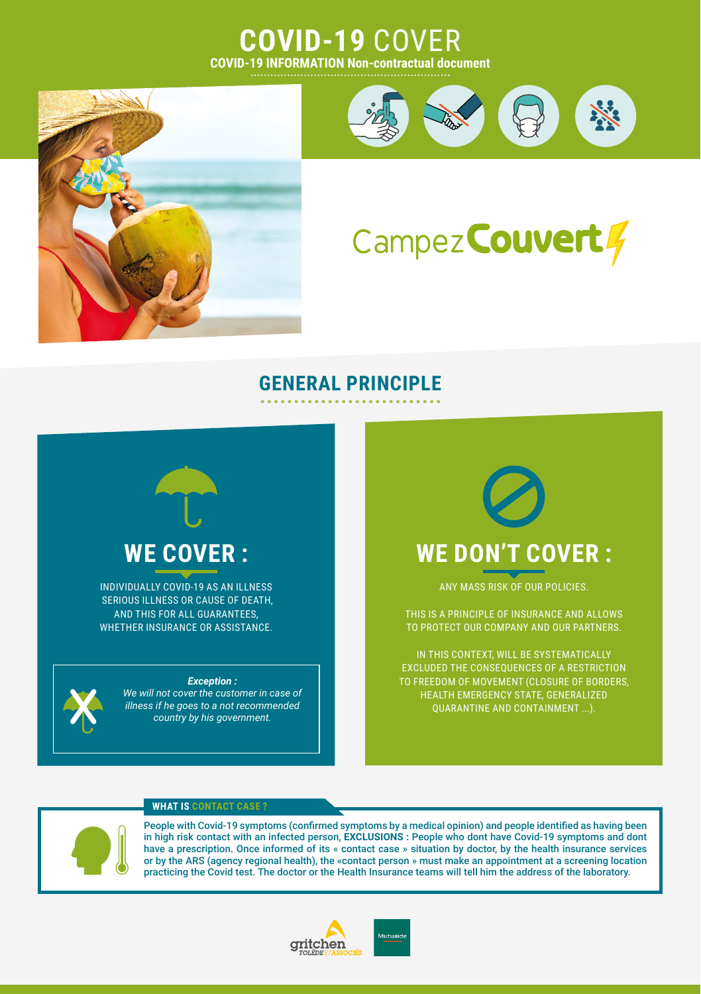## **COVID-19** COVER **COVID-19 INFORMATION Non-contractual document**





# Campez Couvert 4

### **GENERAL PRINCIPLE**

# **WE COVER :**

INDIVIDUALLY COVID-19 AS AN ILLNESS SERIOUS ILLNESS OR CAUSE OF DEATH, AND THIS FOR ALL GUARANTEES, WHETHER INSURANCE OR ASSISTANCE.



#### *Exception :*

*We will not cover the customer in case of illness if he goes to a not recommended country by his government.*



ANY MASS RISK OF OUR POLICIES.

THIS IS A PRINCIPLE OF INSURANCE AND ALLOWS TO PROTECT OUR COMPANY AND OUR PARTNERS.

IN THIS CONTEXT, WILL BE SYSTEMATICALLY EXCLUDED THE CONSEQUENCES OF A RESTRICTION TO FREEDOM OF MOVEMENT (CLOSURE OF BORDERS, HEALTH EMERGENCY STATE, GENERALIZED

#### **WHAT IS CONTACT CASE ?**



People with Covid-19 symptoms (confirmed symptoms by a medical opinion) and people identified as having been in high risk contact with an infected person, **EXCLUSIONS :** People who dont have Covid-19 symptoms and dont have a prescription. Once informed of its « contact case » situation by doctor, by the health insurance services or by the ARS (agency regional health), the «contact person » must make an appointment at a screening location practicing the Covid test. The doctor or the Health Insurance teams will tell him the address of the laboratory.